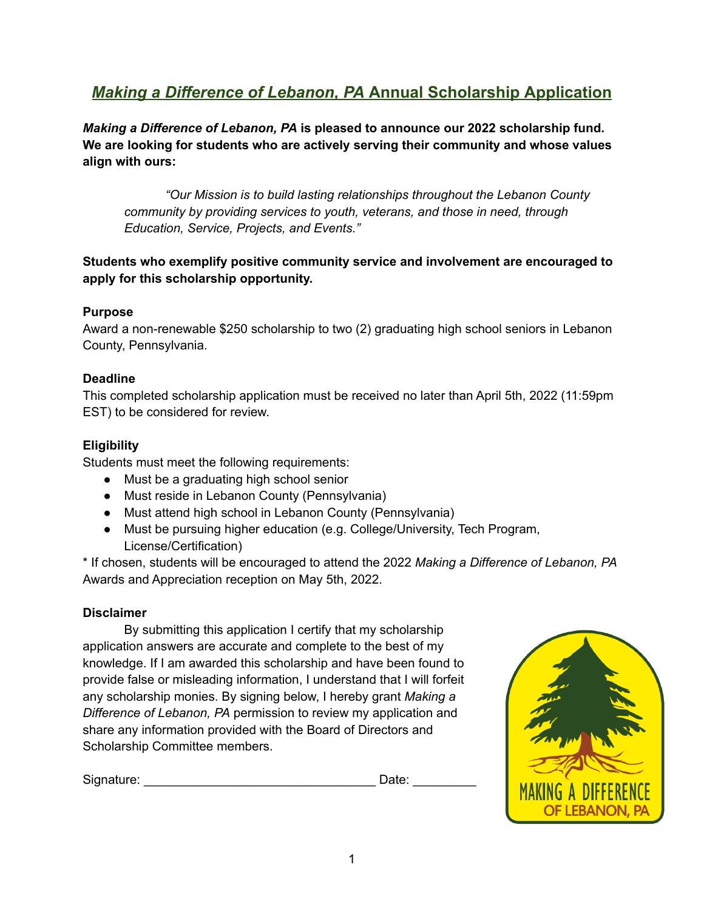# *Making a Difference of Lebanon, PA* **Annual Scholarship Application**

*Making a Difference of Lebanon, PA* **is pleased to announce our 2022 scholarship fund. We are looking for students who are actively serving their community and whose values align with ours:**

*"Our Mission is to build lasting relationships throughout the Lebanon County community by providing services to youth, veterans, and those in need, through Education, Service, Projects, and Events."*

# **Students who exemplify positive community service and involvement are encouraged to apply for this scholarship opportunity.**

# **Purpose**

Award a non-renewable \$250 scholarship to two (2) graduating high school seniors in Lebanon County, Pennsylvania.

### **Deadline**

This completed scholarship application must be received no later than April 5th, 2022 (11:59pm EST) to be considered for review.

# **Eligibility**

Students must meet the following requirements:

- Must be a graduating high school senior
- Must reside in Lebanon County (Pennsylvania)
- Must attend high school in Lebanon County (Pennsylvania)
- Must be pursuing higher education (e.g. College/University, Tech Program, License/Certification)

\* If chosen, students will be encouraged to attend the 2022 *Making a Difference of Lebanon, PA* Awards and Appreciation reception on May 5th, 2022.

### **Disclaimer**

By submitting this application I certify that my scholarship application answers are accurate and complete to the best of my knowledge. If I am awarded this scholarship and have been found to provide false or misleading information, I understand that I will forfeit any scholarship monies. By signing below, I hereby grant *Making a Difference of Lebanon, PA* permission to review my application and share any information provided with the Board of Directors and Scholarship Committee members.

Signature: \_\_\_\_\_\_\_\_\_\_\_\_\_\_\_\_\_\_\_\_\_\_\_\_\_\_\_\_\_\_\_\_\_ Date: \_\_\_\_\_\_\_\_\_

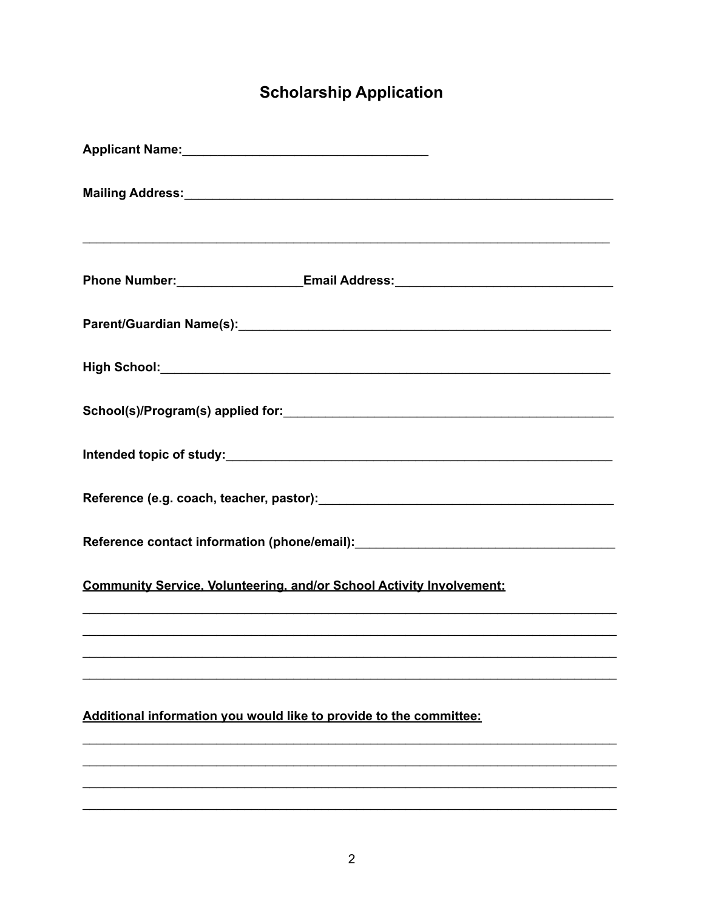# **Scholarship Application**

| Applicant Name: Mannell Applicant Name:                                                                       |
|---------------------------------------------------------------------------------------------------------------|
|                                                                                                               |
|                                                                                                               |
| Phone Number: ________________________Email Address: ___________________________                              |
| Parent/Guardian Name(s): 2008 2009 2009 2010 2020 2031 2040 2051 2052 2053 2054 2055 2056 2057 2058 2059 2059 |
|                                                                                                               |
|                                                                                                               |
|                                                                                                               |
| Reference (e.g. coach, teacher, pastor): Manual Communication of the Reference (e.g. coach, teacher, pastor): |
|                                                                                                               |
| <b>Community Service, Volunteering, and/or School Activity Involvement:</b>                                   |
|                                                                                                               |
|                                                                                                               |
| Additional information you would like to provide to the committee:                                            |
|                                                                                                               |
|                                                                                                               |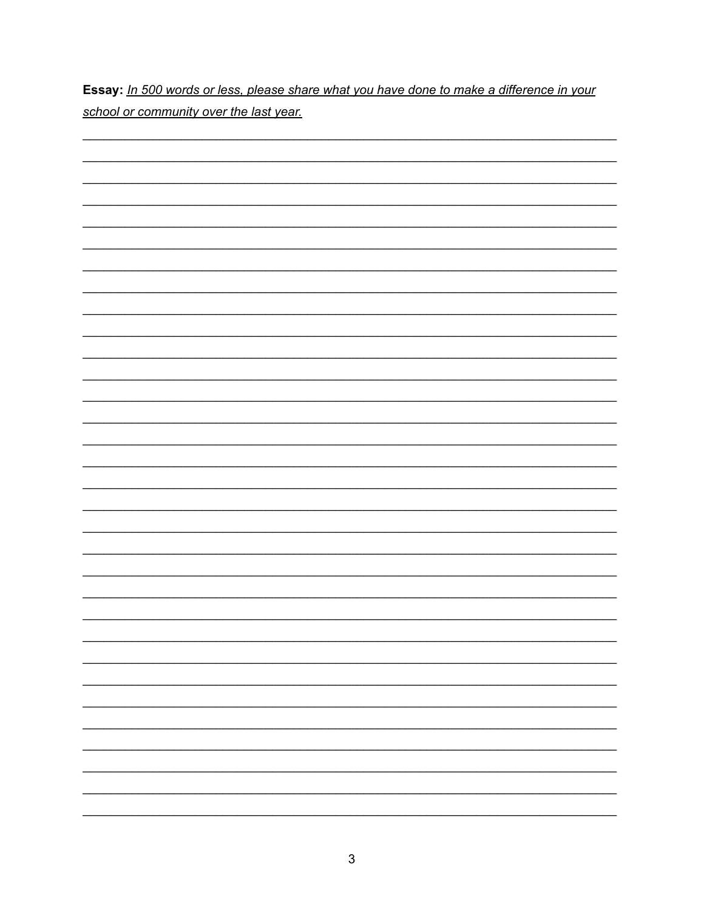Essay: In 500 words or less, please share what you have done to make a difference in your school or community over the last year.